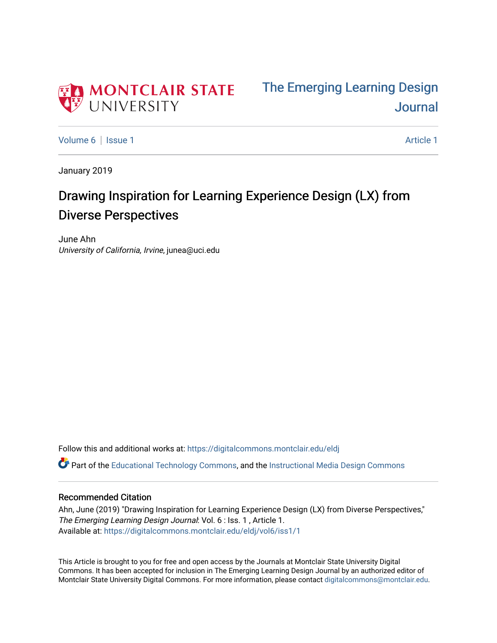



[Volume 6](https://digitalcommons.montclair.edu/eldj/vol6) | [Issue 1](https://digitalcommons.montclair.edu/eldj/vol6/iss1) Article 1

January 2019

# Drawing Inspiration for Learning Experience Design (LX) from Diverse Perspectives

June Ahn University of California, Irvine, junea@uci.edu

Follow this and additional works at: [https://digitalcommons.montclair.edu/eldj](https://digitalcommons.montclair.edu/eldj?utm_source=digitalcommons.montclair.edu%2Feldj%2Fvol6%2Fiss1%2F1&utm_medium=PDF&utm_campaign=PDFCoverPages)

 $\bullet$  Part of the [Educational Technology Commons,](http://network.bepress.com/hgg/discipline/1415?utm_source=digitalcommons.montclair.edu%2Feldj%2Fvol6%2Fiss1%2F1&utm_medium=PDF&utm_campaign=PDFCoverPages) and the Instructional Media Design Commons

### Recommended Citation

Ahn, June (2019) "Drawing Inspiration for Learning Experience Design (LX) from Diverse Perspectives," The Emerging Learning Design Journal: Vol. 6 : Iss. 1 , Article 1. Available at: [https://digitalcommons.montclair.edu/eldj/vol6/iss1/1](https://digitalcommons.montclair.edu/eldj/vol6/iss1/1?utm_source=digitalcommons.montclair.edu%2Feldj%2Fvol6%2Fiss1%2F1&utm_medium=PDF&utm_campaign=PDFCoverPages) 

This Article is brought to you for free and open access by the Journals at Montclair State University Digital Commons. It has been accepted for inclusion in The Emerging Learning Design Journal by an authorized editor of Montclair State University Digital Commons. For more information, please contact [digitalcommons@montclair.edu.](mailto:digitalcommons@montclair.edu)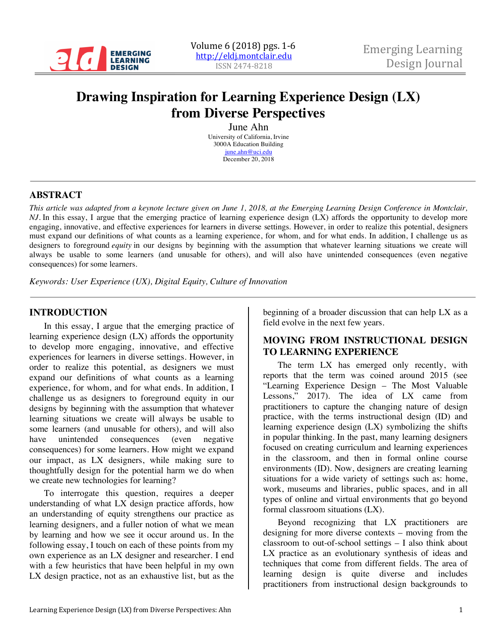

# **Drawing Inspiration for Learning Experience Design (LX) from Diverse Perspectives**

June Ahn University of California, Irvine 3000A Education Building june.ahn@uci.edu December 20, 2018

### **ABSTRACT**

*This article was adapted from a keynote lecture given on June 1, 2018, at the Emerging Learning Design Conference in Montclair, NJ.* In this essay, I argue that the emerging practice of learning experience design (LX) affords the opportunity to develop more engaging, innovative, and effective experiences for learners in diverse settings. However, in order to realize this potential, designers must expand our definitions of what counts as a learning experience, for whom, and for what ends. In addition, I challenge us as designers to foreground *equity* in our designs by beginning with the assumption that whatever learning situations we create will always be usable to some learners (and unusable for others), and will also have unintended consequences (even negative consequences) for some learners.

*Keywords: User Experience (UX), Digital Equity, Culture of Innovation*

#### **INTRODUCTION**

In this essay, I argue that the emerging practice of learning experience design (LX) affords the opportunity to develop more engaging, innovative, and effective experiences for learners in diverse settings. However, in order to realize this potential, as designers we must expand our definitions of what counts as a learning experience, for whom, and for what ends. In addition, I challenge us as designers to foreground equity in our designs by beginning with the assumption that whatever learning situations we create will always be usable to some learners (and unusable for others), and will also have unintended consequences (even negative consequences) for some learners. How might we expand our impact, as LX designers, while making sure to thoughtfully design for the potential harm we do when we create new technologies for learning?

To interrogate this question, requires a deeper understanding of what LX design practice affords, how an understanding of equity strengthens our practice as learning designers, and a fuller notion of what we mean by learning and how we see it occur around us. In the following essay, I touch on each of these points from my own experience as an LX designer and researcher. I end with a few heuristics that have been helpful in my own LX design practice, not as an exhaustive list, but as the

beginning of a broader discussion that can help LX as a field evolve in the next few years.

#### **MOVING FROM INSTRUCTIONAL DESIGN TO LEARNING EXPERIENCE**

The term LX has emerged only recently, with reports that the term was coined around 2015 (see "Learning Experience Design – The Most Valuable<br>Lessons." 2017). The idea of LX came from  $2017$ ). The idea of LX came from practitioners to capture the changing nature of design practice, with the terms instructional design (ID) and learning experience design (LX) symbolizing the shifts in popular thinking. In the past, many learning designers focused on creating curriculum and learning experiences in the classroom, and then in formal online course environments (ID). Now, designers are creating learning situations for a wide variety of settings such as: home, work, museums and libraries, public spaces, and in all types of online and virtual environments that go beyond formal classroom situations (LX).

Beyond recognizing that LX practitioners are designing for more diverse contexts – moving from the classroom to out-of-school settings – I also think about LX practice as an evolutionary synthesis of ideas and techniques that come from different fields. The area of learning design is quite diverse and includes practitioners from instructional design backgrounds to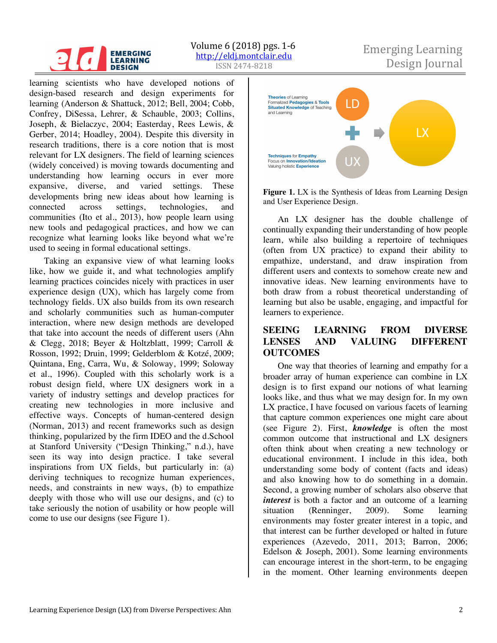#### **EMERGING LEARNING DESIGN**

ISSN 2474-8218 Volume  $6(2018)$  pgs.  $1-6$ 

# Emerging Learning http://eldj.montclair.edu<br>
ISSN 2474-8218 Design Journal

learning scientists who have developed notions of design-based research and design experiments for learning (Anderson & Shattuck, 2012; Bell, 2004; Cobb, Confrey, DiSessa, Lehrer, & Schauble, 2003; Collins, Joseph, & Bielaczyc, 2004; Easterday, Rees Lewis, & Gerber, 2014; Hoadley, 2004). Despite this diversity in research traditions, there is a core notion that is most relevant for LX designers. The field of learning sciences (widely conceived) is moving towards documenting and understanding how learning occurs in ever more expansive, diverse, and varied settings. These developments bring new ideas about how learning is connected across settings, technologies, and communities (Ito et al., 2013), how people learn using new tools and pedagogical practices, and how we can recognize what learning looks like beyond what we're used to seeing in formal educational settings.

Taking an expansive view of what learning looks like, how we guide it, and what technologies amplify learning practices coincides nicely with practices in user experience design (UX), which has largely come from technology fields. UX also builds from its own research and scholarly communities such as human-computer interaction, where new design methods are developed that take into account the needs of different users (Ahn & Clegg, 2018; Beyer & Holtzblatt, 1999; Carroll & Rosson, 1992; Druin, 1999; Gelderblom & Kotzé, 2009; Quintana, Eng, Carra, Wu, & Soloway, 1999; Soloway et al., 1996). Coupled with this scholarly work is a robust design field, where UX designers work in a variety of industry settings and develop practices for creating new technologies in more inclusive and effective ways. Concepts of human-centered design (Norman, 2013) and recent frameworks such as design thinking, popularized by the firm IDEO and the d.School at Stanford University ("Design Thinking," n.d.), have seen its way into design practice. I take several inspirations from UX fields, but particularly in: (a) deriving techniques to recognize human experiences, needs, and constraints in new ways, (b) to empathize deeply with those who will use our designs, and (c) to take seriously the notion of usability or how people will come to use our designs (see Figure 1).



**Figure 1***.* LX is the Synthesis of Ideas from Learning Design and User Experience Design.

An LX designer has the double challenge of continually expanding their understanding of how people learn, while also building a repertoire of techniques (often from UX practice) to expand their ability to empathize, understand, and draw inspiration from different users and contexts to somehow create new and innovative ideas. New learning environments have to both draw from a robust theoretical understanding of learning but also be usable, engaging, and impactful for learners to experience.

## **SEEING LEARNING FROM DIVERSE LENSES AND VALUING DIFFERENT OUTCOMES**

One way that theories of learning and empathy for a broader array of human experience can combine in LX design is to first expand our notions of what learning looks like, and thus what we may design for. In my own LX practice, I have focused on various facets of learning that capture common experiences one might care about (see Figure 2). First, *knowledge* is often the most common outcome that instructional and LX designers often think about when creating a new technology or educational environment. I include in this idea, both understanding some body of content (facts and ideas) and also knowing how to do something in a domain. Second, a growing number of scholars also observe that *interest* is both a factor and an outcome of a learning situation (Renninger, 2009). Some learning environments may foster greater interest in a topic, and that interest can be further developed or halted in future experiences (Azevedo, 2011, 2013; Barron, 2006; Edelson & Joseph, 2001). Some learning environments can encourage interest in the short-term, to be engaging in the moment. Other learning environments deepen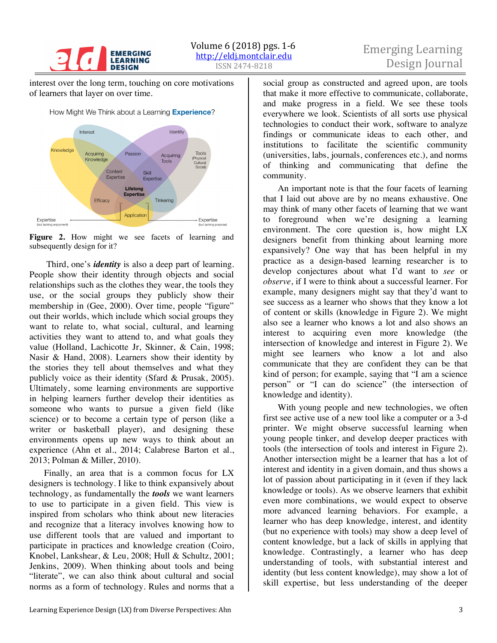

# Emerging Learning

interest over the long term, touching on core motivations of learners that layer on over time.



Figure 2. How might we see facets of learning and subsequently design for it?

Third, one's *identity* is also a deep part of learning. People show their identity through objects and social relationships such as the clothes they wear, the tools they use, or the social groups they publicly show their membership in (Gee, 2000). Over time, people "figure" out their worlds, which include which social groups they want to relate to, what social, cultural, and learning activities they want to attend to, and what goals they value (Holland, Lachicotte Jr, Skinner, & Cain, 1998; Nasir & Hand, 2008). Learners show their identity by the stories they tell about themselves and what they publicly voice as their identity (Sfard & Prusak, 2005). Ultimately, some learning environments are supportive in helping learners further develop their identities as someone who wants to pursue a given field (like science) or to become a certain type of person (like a writer or basketball player), and designing these environments opens up new ways to think about an experience (Ahn et al., 2014; Calabrese Barton et al., 2013; Polman & Miller, 2010).

Finally, an area that is a common focus for LX designers is technology. I like to think expansively about technology, as fundamentally the *tools* we want learners to use to participate in a given field. This view is inspired from scholars who think about new literacies and recognize that a literacy involves knowing how to use different tools that are valued and important to participate in practices and knowledge creation (Coiro, Knobel, Lankshear, & Leu, 2008; Hull & Schultz, 2001; Jenkins, 2009). When thinking about tools and being "literate", we can also think about cultural and social norms as a form of technology. Rules and norms that a

social group as constructed and agreed upon, are tools that make it more effective to communicate, collaborate, and make progress in a field. We see these tools everywhere we look. Scientists of all sorts use physical technologies to conduct their work, software to analyze findings or communicate ideas to each other, and institutions to facilitate the scientific community (universities, labs, journals, conferences etc.), and norms of thinking and communicating that define the community.

An important note is that the four facets of learning that I laid out above are by no means exhaustive. One may think of many other facets of learning that we want to foreground when we're designing a learning environment. The core question is, how might LX designers benefit from thinking about learning more expansively? One way that has been helpful in my practice as a design-based learning researcher is to develop conjectures about what I'd want to *see* or *observe*, if I were to think about a successful learner. For example, many designers might say that they'd want to see success as a learner who shows that they know a lot of content or skills (knowledge in Figure 2). We might also see a learner who knows a lot and also shows an interest to acquiring even more knowledge (the intersection of knowledge and interest in Figure 2). We might see learners who know a lot and also communicate that they are confident they can be that kind of person; for example, saying that "I am a science person" or "I can do science" (the intersection of knowledge and identity).

With young people and new technologies, we often first see active use of a new tool like a computer or a 3-d printer. We might observe successful learning when young people tinker, and develop deeper practices with tools (the intersection of tools and interest in Figure 2). Another intersection might be a learner that has a lot of interest and identity in a given domain, and thus shows a lot of passion about participating in it (even if they lack knowledge or tools). As we observe learners that exhibit even more combinations, we would expect to observe more advanced learning behaviors. For example, a learner who has deep knowledge, interest, and identity (but no experience with tools) may show a deep level of content knowledge, but a lack of skills in applying that knowledge. Contrastingly, a learner who has deep understanding of tools, with substantial interest and identity (but less content knowledge), may show a lot of skill expertise, but less understanding of the deeper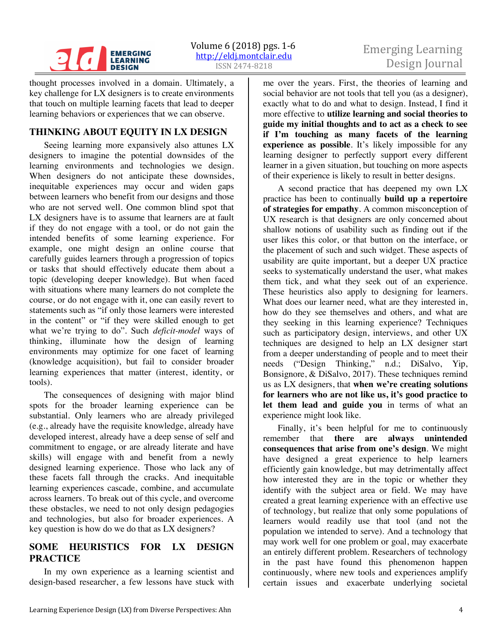

# Emerging Learning

thought processes involved in a domain. Ultimately, a key challenge for LX designers is to create environments that touch on multiple learning facets that lead to deeper learning behaviors or experiences that we can observe.

# **THINKING ABOUT EQUITY IN LX DESIGN**

Seeing learning more expansively also attunes LX designers to imagine the potential downsides of the learning environments and technologies we design. When designers do not anticipate these downsides, inequitable experiences may occur and widen gaps between learners who benefit from our designs and those who are not served well. One common blind spot that LX designers have is to assume that learners are at fault if they do not engage with a tool, or do not gain the intended benefits of some learning experience. For example, one might design an online course that carefully guides learners through a progression of topics or tasks that should effectively educate them about a topic (developing deeper knowledge). But when faced with situations where many learners do not complete the course, or do not engage with it, one can easily revert to statements such as "if only those learners were interested in the content" or "if they were skilled enough to get what we're trying to do". Such *deficit-model* ways of thinking, illuminate how the design of learning environments may optimize for one facet of learning (knowledge acquisition), but fail to consider broader learning experiences that matter (interest, identity, or tools).

The consequences of designing with major blind spots for the broader learning experience can be substantial. Only learners who are already privileged (e.g., already have the requisite knowledge, already have developed interest, already have a deep sense of self and commitment to engage, or are already literate and have skills) will engage with and benefit from a newly designed learning experience. Those who lack any of these facets fall through the cracks. And inequitable learning experiences cascade, combine, and accumulate across learners. To break out of this cycle, and overcome these obstacles, we need to not only design pedagogies and technologies, but also for broader experiences. A key question is how do we do that as LX designers?

# **SOME HEURISTICS FOR LX DESIGN PRACTICE**

In my own experience as a learning scientist and design-based researcher, a few lessons have stuck with

me over the years. First, the theories of learning and social behavior are not tools that tell you (as a designer), exactly what to do and what to design. Instead, I find it more effective to **utilize learning and social theories to guide my initial thoughts and to act as a check to see if I'm touching as many facets of the learning experience as possible**. It's likely impossible for any learning designer to perfectly support every different learner in a given situation, but touching on more aspects of their experience is likely to result in better designs.

A second practice that has deepened my own LX practice has been to continually **build up a repertoire of strategies for empathy**. A common misconception of UX research is that designers are only concerned about shallow notions of usability such as finding out if the user likes this color, or that button on the interface, or the placement of such and such widget. These aspects of usability are quite important, but a deeper UX practice seeks to systematically understand the user, what makes them tick, and what they seek out of an experience. These heuristics also apply to designing for learners. What does our learner need, what are they interested in, how do they see themselves and others, and what are they seeking in this learning experience? Techniques such as participatory design, interviews, and other UX techniques are designed to help an LX designer start from a deeper understanding of people and to meet their needs ("Design Thinking," n.d.; DiSalvo, Yip, Bonsignore, & DiSalvo, 2017). These techniques remind us as LX designers, that **when we're creating solutions for learners who are not like us, it's good practice to let them lead and guide you** in terms of what an experience might look like.

Finally, it's been helpful for me to continuously remember that **there are always unintended consequences that arise from one's design**. We might have designed a great experience to help learners efficiently gain knowledge, but may detrimentally affect how interested they are in the topic or whether they identify with the subject area or field. We may have created a great learning experience with an effective use of technology, but realize that only some populations of learners would readily use that tool (and not the population we intended to serve). And a technology that may work well for one problem or goal, may exacerbate an entirely different problem. Researchers of technology in the past have found this phenomenon happen continuously, where new tools and experiences amplify certain issues and exacerbate underlying societal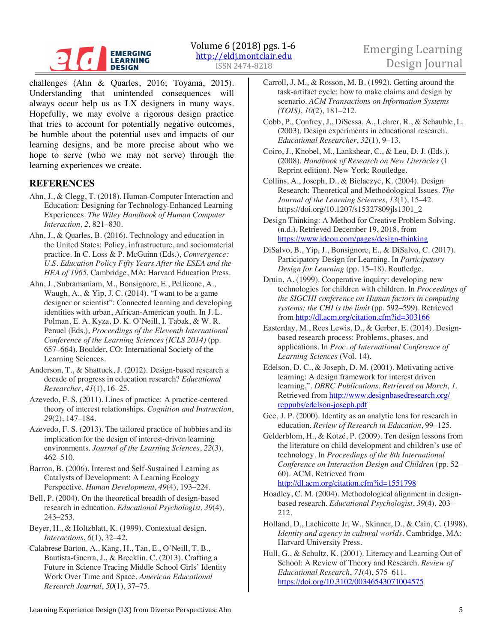#### **EMERGING LEARNING DESIGN**

challenges (Ahn & Quarles, 2016; Toyama, 2015). Understanding that unintended consequences will always occur help us as LX designers in many ways. Hopefully, we may evolve a rigorous design practice that tries to account for potentially negative outcomes, be humble about the potential uses and impacts of our learning designs, and be more precise about who we hope to serve (who we may not serve) through the learning experiences we create.

## **REFERENCES**

- Ahn, J., & Clegg, T. (2018). Human-Computer Interaction and Education: Designing for Technology-Enhanced Learning Experiences. *The Wiley Handbook of Human Computer Interaction*, *2*, 821–830.
- Ahn, J., & Quarles, B. (2016). Technology and education in the United States: Policy, infrastructure, and sociomaterial practice. In C. Loss & P. McGuinn (Eds.), *Convergence: U.S. Education Policy Fifty Years After the ESEA and the HEA of 1965*. Cambridge, MA: Harvard Education Press.
- Ahn, J., Subramaniam, M., Bonsignore, E., Pellicone, A., Waugh, A., & Yip, J. C. (2014). "I want to be a game designer or scientist": Connected learning and developing identities with urban, African-American youth. In J. L. Polman, E. A. Kyza, D. K. O'Neill, I. Tabak, & W. R. Penuel (Eds.), *Proceedings of the Eleventh International Conference of the Learning Sciences (ICLS 2014)* (pp. 657–664). Boulder, CO: International Society of the Learning Sciences.
- Anderson, T., & Shattuck, J. (2012). Design-based research a decade of progress in education research? *Educational Researcher*, *41*(1), 16–25.
- Azevedo, F. S. (2011). Lines of practice: A practice-centered theory of interest relationships. *Cognition and Instruction*, *29*(2), 147–184.
- Azevedo, F. S. (2013). The tailored practice of hobbies and its implication for the design of interest-driven learning environments. *Journal of the Learning Sciences*, *22*(3), 462–510.

Barron, B. (2006). Interest and Self-Sustained Learning as Catalysts of Development: A Learning Ecology Perspective. *Human Development*, *49*(4), 193–224.

- Bell, P. (2004). On the theoretical breadth of design-based research in education. *Educational Psychologist*, *39*(4), 243–253.
- Beyer, H., & Holtzblatt, K. (1999). Contextual design. *Interactions*, *6*(1), 32–42.
- Calabrese Barton, A., Kang, H., Tan, E., O'Neill, T. B., Bautista-Guerra, J., & Brecklin, C. (2013). Crafting a Future in Science Tracing Middle School Girls' Identity Work Over Time and Space. *American Educational Research Journal*, *50*(1), 37–75.
- Carroll, J. M., & Rosson, M. B. (1992). Getting around the task-artifact cycle: how to make claims and design by scenario. *ACM Transactions on Information Systems (TOIS)*, *10*(2), 181–212.
- Cobb, P., Confrey, J., DiSessa, A., Lehrer, R., & Schauble, L. (2003). Design experiments in educational research. *Educational Researcher*, *32*(1), 9–13.
- Coiro, J., Knobel, M., Lankshear, C., & Leu, D. J. (Eds.). (2008). *Handbook of Research on New Literacies* (1 Reprint edition). New York: Routledge.
- Collins, A., Joseph, D., & Bielaczyc, K. (2004). Design Research: Theoretical and Methodological Issues. *The Journal of the Learning Sciences*, *13*(1), 15–42. https://doi.org/10.1207/s15327809jls1301\_2
- Design Thinking: A Method for Creative Problem Solving. (n.d.). Retrieved December 19, 2018, from https://www.ideou.com/pages/design-thinking
- DiSalvo, B., Yip, J., Bonsignore, E., & DiSalvo, C. (2017). Participatory Design for Learning. In *Participatory Design for Learning* (pp. 15–18). Routledge.
- Druin, A. (1999). Cooperative inquiry: developing new technologies for children with children. In *Proceedings of the SIGCHI conference on Human factors in computing systems: the CHI is the limit* (pp. 592–599). Retrieved from http://dl.acm.org/citation.cfm?id=303166
- Easterday, M., Rees Lewis, D., & Gerber, E. (2014). Designbased research process: Problems, phases, and applications. In *Proc. of International Conference of Learning Sciences* (Vol. 14).
- Edelson, D. C., & Joseph, D. M. (2001). Motivating active learning: A design framework for interest driven learning,". *DBRC Publications. Retrieved on March*, *1*. Retrieved from http://www.designbasedresearch.org/ reppubs/edelson-joseph.pdf
- Gee, J. P. (2000). Identity as an analytic lens for research in education. *Review of Research in Education*, 99–125.
- Gelderblom, H., & Kotzé, P. (2009). Ten design lessons from the literature on child development and children's use of technology. In *Proceedings of the 8th International Conference on Interaction Design and Children* (pp. 52– 60). ACM. Retrieved from http://dl.acm.org/citation.cfm?id=1551798
- Hoadley, C. M. (2004). Methodological alignment in designbased research. *Educational Psychologist*, *39*(4), 203– 212.
- Holland, D., Lachicotte Jr, W., Skinner, D., & Cain, C. (1998). *Identity and agency in cultural worlds.* Cambridge, MA: Harvard University Press.

Hull, G., & Schultz, K. (2001). Literacy and Learning Out of School: A Review of Theory and Research. *Review of Educational Research*, *71*(4), 575–611. https://doi.org/10.3102/00346543071004575